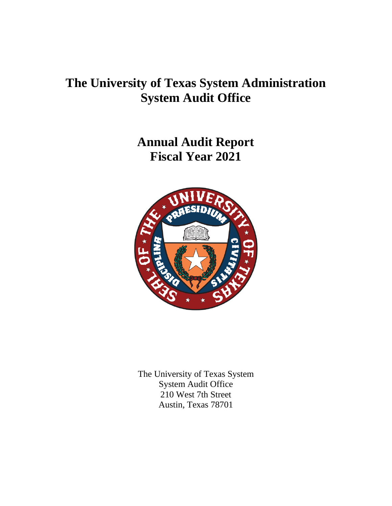# **The University of Texas System Administration System Audit Office**

**Annual Audit Report Fiscal Year 2021**



The University of Texas System System Audit Office 210 West 7th Street Austin, Texas 78701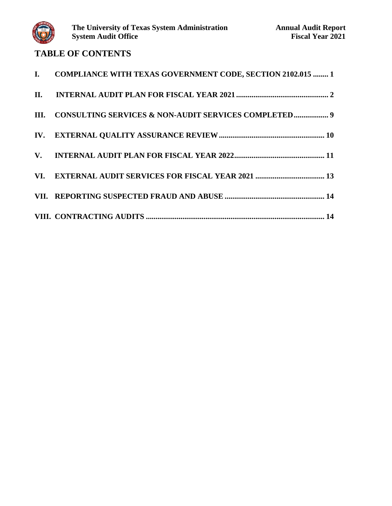

## **TABLE OF CONTENTS**

| I. COMPLIANCE WITH TEXAS GOVERNMENT CODE, SECTION 2102.015  1 |
|---------------------------------------------------------------|
|                                                               |
| III. CONSULTING SERVICES & NON-AUDIT SERVICES COMPLETED 9     |
|                                                               |
|                                                               |
|                                                               |
|                                                               |
|                                                               |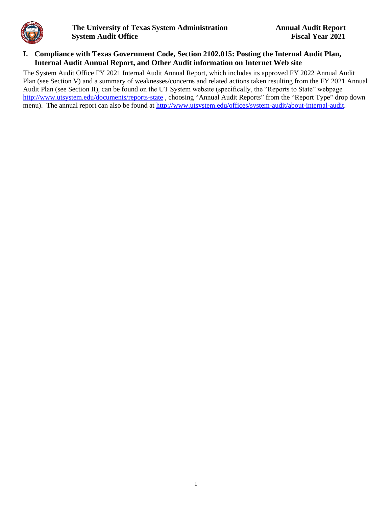<span id="page-2-0"></span>

#### **I. Compliance with Texas Government Code, Section 2102.015: Posting the Internal Audit Plan, Internal Audit Annual Report, and Other Audit information on Internet Web site**

The System Audit Office FY 2021 Internal Audit Annual Report, which includes its approved FY 2022 Annual Audit Plan (see Section V) and a summary of weaknesses/concerns and related actions taken resulting from the FY 2021 Annual Audit Plan (see Section II), can be found on the UT System website (specifically, the "Reports to State" webpage <http://www.utsystem.edu/documents/reports-state> , choosing "Annual Audit Reports" from the "Report Type" drop down menu). The annual report can also be found at [http://www.utsystem.edu/offices/system-audit/about-internal-audit.](http://www.utsystem.edu/offices/system-audit/about-internal-audit)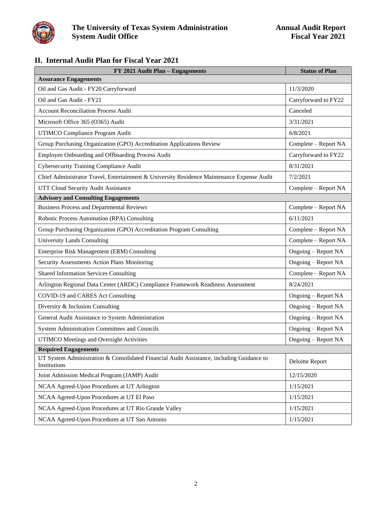<span id="page-3-0"></span>

## **II. Internal Audit Plan for Fiscal Year 2021**

| FY 2021 Audit Plan - Engagements                                                                          | <b>Status of Plan</b> |
|-----------------------------------------------------------------------------------------------------------|-----------------------|
| <b>Assurance Engagements</b>                                                                              |                       |
| Oil and Gas Audit - FY20 Carryforward                                                                     | 11/3/2020             |
| Oil and Gas Audit - FY21                                                                                  | Carryforward to FY22  |
| <b>Account Reconciliation Process Audit</b>                                                               | Canceled              |
| Microsoft Office 365 (O365) Audit                                                                         | 3/31/2021             |
| UTIMCO Compliance Program Audit                                                                           | 6/8/2021              |
| Group Purchasing Organization (GPO) Accreditation Applications Review                                     | Complete - Report NA  |
| Employee Onboarding and Offboarding Process Audit                                                         | Carryforward to FY22  |
| <b>Cybersecurity Training Compliance Audit</b>                                                            | 8/31/2021             |
| Chief Administrator Travel, Entertainment & University Residence Maintenance Expense Audit                | 7/2/2021              |
| UTT Cloud Security Audit Assistance                                                                       | Complete - Report NA  |
| <b>Advisory and Consulting Engagements</b>                                                                |                       |
| <b>Business Process and Departmental Reviews</b>                                                          | Complete - Report NA  |
| Robotic Process Automation (RPA) Consulting                                                               | 6/11/2021             |
| Group Purchasing Organization (GPO) Accreditation Program Consulting                                      | Complete – Report NA  |
| <b>University Lands Consulting</b>                                                                        | Complete – Report NA  |
| Enterprise Risk Management (ERM) Consulting                                                               | Ongoing - Report NA   |
| Security Assessments Action Plans Monitoring                                                              | Ongoing - Report NA   |
| <b>Shared Information Services Consulting</b>                                                             | Complete - Report NA  |
| Arlington Regional Data Center (ARDC) Compliance Framework Readiness Assessment                           | 8/24/2021             |
| COVID-19 and CARES Act Consulting                                                                         | Ongoing - Report NA   |
| Diversity & Inclusion Consulting                                                                          | Ongoing - Report NA   |
| General Audit Assistance to System Administration                                                         | Ongoing - Report NA   |
| System Administration Committees and Councils                                                             | Ongoing – Report NA   |
| UTIMCO Meetings and Oversight Activities                                                                  | Ongoing - Report NA   |
| <b>Required Engagements</b>                                                                               |                       |
| UT System Administration & Consolidated Financial Audit Assistance, including Guidance to<br>Institutions | Deloitte Report       |
| Joint Admission Medical Program (JAMP) Audit                                                              | 12/15/2020            |
| NCAA Agreed-Upon Procedures at UT Arlington                                                               | 1/15/2021             |
| NCAA Agreed-Upon Procedures at UT El Paso                                                                 | 1/15/2021             |
| NCAA Agreed-Upon Procedures at UT Rio Grande Valley                                                       | 1/15/2021             |
| NCAA Agreed-Upon Procedures at UT San Antonio                                                             | 1/15/2021             |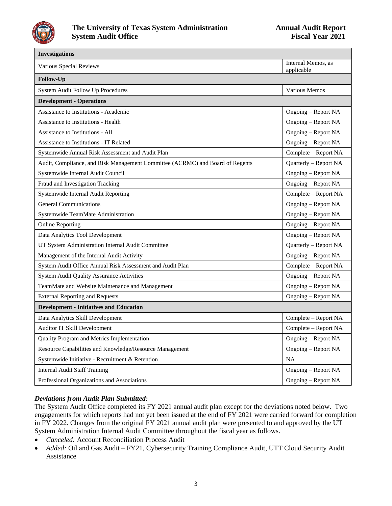

 $\overline{\phantom{0}}$ 

| <b>Investigations</b>                                                         |                                  |
|-------------------------------------------------------------------------------|----------------------------------|
| Various Special Reviews                                                       | Internal Memos, as<br>applicable |
| Follow-Up                                                                     |                                  |
| System Audit Follow Up Procedures                                             | Various Memos                    |
| <b>Development - Operations</b>                                               |                                  |
| <b>Assistance to Institutions - Academic</b>                                  | Ongoing – Report NA              |
| <b>Assistance to Institutions - Health</b>                                    | Ongoing - Report NA              |
| Assistance to Institutions - All                                              | Ongoing - Report NA              |
| <b>Assistance to Institutions - IT Related</b>                                | Ongoing - Report NA              |
| Systemwide Annual Risk Assessment and Audit Plan                              | Complete - Report NA             |
| Audit, Compliance, and Risk Management Committee (ACRMC) and Board of Regents | Quarterly - Report NA            |
| Systemwide Internal Audit Council                                             | Ongoing - Report NA              |
| Fraud and Investigation Tracking                                              | Ongoing - Report NA              |
| Systemwide Internal Audit Reporting                                           | Complete - Report NA             |
| <b>General Communications</b>                                                 | Ongoing – Report NA              |
| Systemwide TeamMate Administration                                            | Ongoing - Report NA              |
| <b>Online Reporting</b>                                                       | Ongoing - Report NA              |
| Data Analytics Tool Development                                               | Ongoing - Report NA              |
| UT System Administration Internal Audit Committee                             | Quarterly - Report NA            |
| Management of the Internal Audit Activity                                     | Ongoing - Report NA              |
| System Audit Office Annual Risk Assessment and Audit Plan                     | Complete - Report NA             |
| <b>System Audit Quality Assurance Activities</b>                              | Ongoing - Report NA              |
| TeamMate and Website Maintenance and Management                               | Ongoing - Report NA              |
| <b>External Reporting and Requests</b>                                        | Ongoing - Report NA              |
| <b>Development - Initiatives and Education</b>                                |                                  |
| Data Analytics Skill Development                                              | Complete - Report NA             |
| Auditor IT Skill Development                                                  | Complete - Report NA             |
| Quality Program and Metrics Implementation                                    | Ongoing - Report NA              |
| Resource Capabilities and Knowledge/Resource Management                       | Ongoing - Report NA              |
| Systemwide Initiative - Recruitment & Retention                               | <b>NA</b>                        |
| <b>Internal Audit Staff Training</b>                                          | Ongoing - Report NA              |
| Professional Organizations and Associations                                   | Ongoing - Report NA              |

### *Deviations from Audit Plan Submitted:*

The System Audit Office completed its FY 2021 annual audit plan except for the deviations noted below. Two engagements for which reports had not yet been issued at the end of FY 2021 were carried forward for completion in FY 2022. Changes from the original FY 2021 annual audit plan were presented to and approved by the UT System Administration Internal Audit Committee throughout the fiscal year as follows.

- *Canceled:* Account Reconciliation Process Audit
- *Added:* Oil and Gas Audit FY21, Cybersecurity Training Compliance Audit, UTT Cloud Security Audit Assistance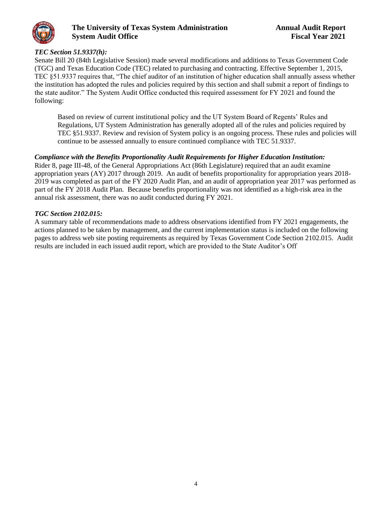

#### *TEC Section 51.9337(h):*

Senate Bill 20 (84th Legislative Session) made several modifications and additions to Texas Government Code (TGC) and Texas Education Code (TEC) related to purchasing and contracting. Effective September 1, 2015, TEC §51.9337 requires that, "The chief auditor of an institution of higher education shall annually assess whether the institution has adopted the rules and policies required by this section and shall submit a report of findings to the state auditor." The System Audit Office conducted this required assessment for FY 2021 and found the following:

Based on review of current institutional policy and the UT System Board of Regents' Rules and Regulations, UT System Administration has generally adopted all of the rules and policies required by TEC §51.9337. Review and revision of System policy is an ongoing process. These rules and policies will continue to be assessed annually to ensure continued compliance with TEC 51.9337.

#### *Compliance with the Benefits Proportionality Audit Requirements for Higher Education Institution:*

Rider 8, page III-48, of the General Appropriations Act (86th Legislature) required that an audit examine appropriation years (AY) 2017 through 2019. An audit of benefits proportionality for appropriation years 2018- 2019 was completed as part of the FY 2020 Audit Plan, and an audit of appropriation year 2017 was performed as part of the FY 2018 Audit Plan. Because benefits proportionality was not identified as a high-risk area in the annual risk assessment, there was no audit conducted during FY 2021.

#### *TGC Section 2102.015:*

A summary table of recommendations made to address observations identified from FY 2021 engagements, the actions planned to be taken by management, and the current implementation status is included on the following pages to address web site posting requirements as required by Texas Government Code Section 2102.015. Audit results are included in each issued audit report, which are provided to the State Auditor's Off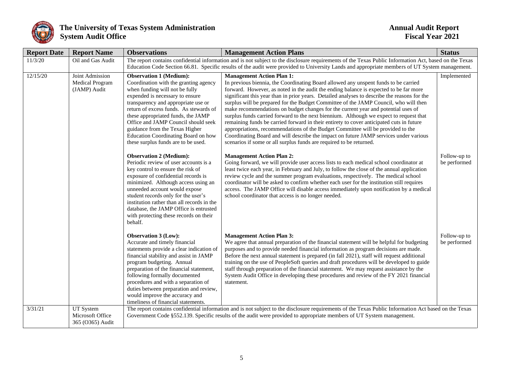

| <b>Report Date</b> | <b>Report Name</b>                                 | <b>Observations</b>                                                                                                                                                                                                                                                                                                                                                                                                               | <b>Management Action Plans</b>                                                                                                                                                                                                                                                                                                                                                                                                                                                                                                                                                                                                                                                                                                                                                                                                                                                                                                         | <b>Status</b>                |
|--------------------|----------------------------------------------------|-----------------------------------------------------------------------------------------------------------------------------------------------------------------------------------------------------------------------------------------------------------------------------------------------------------------------------------------------------------------------------------------------------------------------------------|----------------------------------------------------------------------------------------------------------------------------------------------------------------------------------------------------------------------------------------------------------------------------------------------------------------------------------------------------------------------------------------------------------------------------------------------------------------------------------------------------------------------------------------------------------------------------------------------------------------------------------------------------------------------------------------------------------------------------------------------------------------------------------------------------------------------------------------------------------------------------------------------------------------------------------------|------------------------------|
| 11/3/20            | Oil and Gas Audit                                  | The report contains confidential information and is not subject to the disclosure requirements of the Texas Public Information Act, based on the Texas<br>Education Code Section 66.81. Specific results of the audit were provided to University Lands and appropriate members of UT System management.                                                                                                                          |                                                                                                                                                                                                                                                                                                                                                                                                                                                                                                                                                                                                                                                                                                                                                                                                                                                                                                                                        |                              |
| 12/15/20           | Joint Admission<br>Medical Program<br>(JAMP) Audit | <b>Observation 1 (Medium):</b><br>Coordination with the granting agency<br>when funding will not be fully<br>expended is necessary to ensure<br>transparency and appropriate use or<br>return of excess funds. As stewards of<br>these appropriated funds, the JAMP<br>Office and JAMP Council should seek<br>guidance from the Texas Higher<br><b>Education Coordinating Board on how</b><br>these surplus funds are to be used. | <b>Management Action Plan 1:</b><br>In previous biennia, the Coordinating Board allowed any unspent funds to be carried<br>forward. However, as noted in the audit the ending balance is expected to be far more<br>significant this year than in prior years. Detailed analyses to describe the reasons for the<br>surplus will be prepared for the Budget Committee of the JAMP Council, who will then<br>make recommendations on budget changes for the current year and potential uses of<br>surplus funds carried forward to the next biennium. Although we expect to request that<br>remaining funds be carried forward in their entirety to cover anticipated cuts in future<br>appropriations, recommendations of the Budget Committee will be provided to the<br>Coordinating Board and will describe the impact on future JAMP services under various<br>scenarios if some or all surplus funds are required to be returned. | Implemented                  |
|                    |                                                    | <b>Observation 2 (Medium):</b><br>Periodic review of user accounts is a<br>key control to ensure the risk of<br>exposure of confidential records is<br>minimized. Although access using an<br>unneeded account would expose<br>student records only for the user's<br>institution rather than all records in the<br>database, the JAMP Office is entrusted<br>with protecting these records on their<br>behalf.                   | <b>Management Action Plan 2:</b><br>Going forward, we will provide user access lists to each medical school coordinator at<br>least twice each year, in February and July, to follow the close of the annual application<br>review cycle and the summer program evaluations, respectively. The medical school<br>coordinator will be asked to confirm whether each user for the institution still requires<br>access. The JAMP Office will disable access immediately upon notification by a medical<br>school coordinator that access is no longer needed.                                                                                                                                                                                                                                                                                                                                                                            | Follow-up to<br>be performed |
|                    |                                                    | <b>Observation 3 (Low):</b><br>Accurate and timely financial<br>statements provide a clear indication of<br>financial stability and assist in JAMP<br>program budgeting. Annual<br>preparation of the financial statement,<br>following formally documented<br>procedures and with a separation of<br>duties between preparation and review,<br>would improve the accuracy and<br>timeliness of financial statements.             | <b>Management Action Plan 3:</b><br>We agree that annual preparation of the financial statement will be helpful for budgeting<br>purposes and to provide needed financial information as program decisions are made.<br>Before the next annual statement is prepared (in fall 2021), staff will request additional<br>training on the use of PeopleSoft queries and draft procedures will be developed to guide<br>staff through preparation of the financial statement. We may request assistance by the<br>System Audit Office in developing these procedures and review of the FY 2021 financial<br>statement.                                                                                                                                                                                                                                                                                                                      | Follow-up to<br>be performed |
| 3/31/21            | UT System<br>Microsoft Office<br>365 (O365) Audit  |                                                                                                                                                                                                                                                                                                                                                                                                                                   | The report contains confidential information and is not subject to the disclosure requirements of the Texas Public Information Act based on the Texas<br>Government Code §552.139. Specific results of the audit were provided to appropriate members of UT System management.                                                                                                                                                                                                                                                                                                                                                                                                                                                                                                                                                                                                                                                         |                              |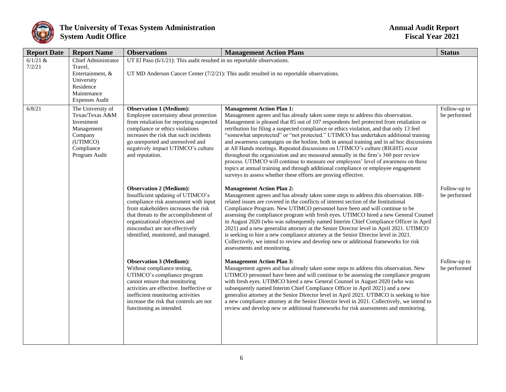

| <b>Report Date</b>   | <b>Report Name</b>                                                                                                           | <b>Observations</b><br><b>Management Action Plans</b>                                                                                                                                                                                                                                                   |                                                                                                                                                                                                                                                                                                                                                                                                                                                                                                                                                                                                                                                                                                                                                                                                                                                                                                                        | <b>Status</b>                |  |  |  |
|----------------------|------------------------------------------------------------------------------------------------------------------------------|---------------------------------------------------------------------------------------------------------------------------------------------------------------------------------------------------------------------------------------------------------------------------------------------------------|------------------------------------------------------------------------------------------------------------------------------------------------------------------------------------------------------------------------------------------------------------------------------------------------------------------------------------------------------------------------------------------------------------------------------------------------------------------------------------------------------------------------------------------------------------------------------------------------------------------------------------------------------------------------------------------------------------------------------------------------------------------------------------------------------------------------------------------------------------------------------------------------------------------------|------------------------------|--|--|--|
| $6/1/21$ &<br>7/2/21 | <b>Chief Administrator</b><br>Travel.<br>Entertainment, &<br>University<br>Residence<br>Maintenance<br><b>Expenses Audit</b> | UT El Paso $(6/1/21)$ : This audit resulted in no reportable observations.                                                                                                                                                                                                                              | UT MD Anderson Cancer Center $(7/2/21)$ : This audit resulted in no reportable observations.                                                                                                                                                                                                                                                                                                                                                                                                                                                                                                                                                                                                                                                                                                                                                                                                                           |                              |  |  |  |
| 6/8/21               | The University of<br>Texas/Texas A&M<br>Investment<br>Management<br>Company<br>(UTIMCO)<br>Compliance<br>Program Audit       | <b>Observation 1 (Medium):</b><br>Employee uncertainty about protection<br>from retaliation for reporting suspected<br>compliance or ethics violations<br>increases the risk that such incidents<br>go unreported and unresolved and<br>negatively impact UTIMCO's culture<br>and reputation.           | <b>Management Action Plan 1:</b><br>Management agrees and has already taken some steps to address this observation.<br>Management is pleased that 85 out of 107 respondents feel protected from retaliation or<br>retribution for filing a suspected compliance or ethics violation, and that only 13 feel<br>"somewhat unprotected" or "not protected." UTIMCO has undertaken additional training<br>and awareness campaigns on the hotline, both in annual training and in ad hoc discussions<br>at All Hands meetings. Repeated discussions on UTIMCO's culture (RIGHT) occur<br>throughout the organization and are measured annually in the firm's 360 peer review<br>process. UTIMCO will continue to measure our employees' level of awareness on these<br>topics at annual training and through additional compliance or employee engagement<br>surveys to assess whether these efforts are proving effective. | Follow-up to<br>be performed |  |  |  |
|                      |                                                                                                                              | <b>Observation 2 (Medium):</b><br>Insufficient updating of UTIMCO's<br>compliance risk assessment with input<br>from stakeholders increases the risk<br>that threats to the accomplishment of<br>organizational objectives and<br>misconduct are not effectively<br>identified, monitored, and managed. | <b>Management Action Plan 2:</b><br>Management agrees and has already taken some steps to address this observation. HR-<br>related issues are covered in the conflicts of interest section of the Institutional<br>Compliance Program. New UTIMCO personnel have been and will continue to be<br>assessing the compliance program with fresh eyes. UTIMCO hired a new General Counsel<br>in August 2020 (who was subsequently named Interim Chief Compliance Officer in April<br>2021) and a new generalist attorney at the Senior Director level in April 2021. UTIMCO<br>is seeking to hire a new compliance attorney at the Senior Director level in 2021.<br>Collectively, we intend to review and develop new or additional frameworks for risk<br>assessments and monitoring.                                                                                                                                    | Follow-up to<br>be performed |  |  |  |
|                      |                                                                                                                              | <b>Observation 3 (Medium):</b><br>Without compliance testing,<br>UTIMCO's compliance program<br>cannot ensure that monitoring<br>activities are effective. Ineffective or<br>inefficient monitoring activities<br>increase the risk that controls are not<br>functioning as intended.                   | <b>Management Action Plan 3:</b><br>Management agrees and has already taken some steps to address this observation. New<br>UTIMCO personnel have been and will continue to be assessing the compliance program<br>with fresh eyes. UTIMCO hired a new General Counsel in August 2020 (who was<br>subsequently named Interim Chief Compliance Officer in April 2021) and a new<br>generalist attorney at the Senior Director level in April 2021. UTIMCO is seeking to hire<br>a new compliance attorney at the Senior Director level in 2021. Collectively, we intend to<br>review and develop new or additional frameworks for risk assessments and monitoring.                                                                                                                                                                                                                                                       | Follow-up to<br>be performed |  |  |  |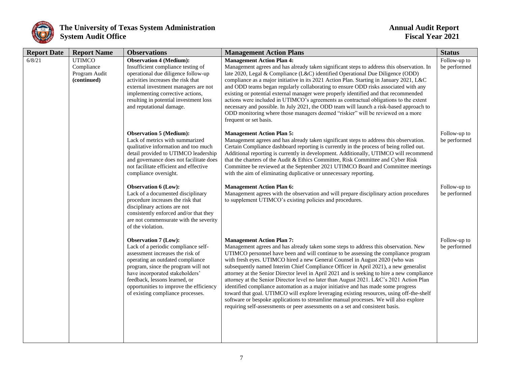

| <b>Report Date</b> | <b>Report Name</b>                                          | <b>Observations</b>                                                                                                                                                                                                                                                                                                                   | <b>Management Action Plans</b>                                                                                                                                                                                                                                                                                                                                                                                                                                                                                                                                                                                                                                                                                                                                                                                                                                                                                                             | <b>Status</b>                |
|--------------------|-------------------------------------------------------------|---------------------------------------------------------------------------------------------------------------------------------------------------------------------------------------------------------------------------------------------------------------------------------------------------------------------------------------|--------------------------------------------------------------------------------------------------------------------------------------------------------------------------------------------------------------------------------------------------------------------------------------------------------------------------------------------------------------------------------------------------------------------------------------------------------------------------------------------------------------------------------------------------------------------------------------------------------------------------------------------------------------------------------------------------------------------------------------------------------------------------------------------------------------------------------------------------------------------------------------------------------------------------------------------|------------------------------|
| 6/8/21             | <b>UTIMCO</b><br>Compliance<br>Program Audit<br>(continued) | <b>Observation 4 (Medium):</b><br>Insufficient compliance testing of<br>operational due diligence follow-up<br>activities increases the risk that<br>external investment managers are not<br>implementing corrective actions,<br>resulting in potential investment loss<br>and reputational damage.                                   | <b>Management Action Plan 4:</b><br>Management agrees and has already taken significant steps to address this observation. In<br>late 2020, Legal & Compliance (L&C) identified Operational Due Diligence (ODD)<br>compliance as a major initiative in its 2021 Action Plan. Starting in January 2021, L&C<br>and ODD teams began regularly collaborating to ensure ODD risks associated with any<br>existing or potential external manager were properly identified and that recommended<br>actions were included in UTIMCO's agreements as contractual obligations to the extent<br>necessary and possible. In July 2021, the ODD team will launch a risk-based approach to<br>ODD monitoring where those managers deemed "riskier" will be reviewed on a more<br>frequent or set basis.                                                                                                                                                 | Follow-up to<br>be performed |
|                    |                                                             | <b>Observation 5 (Medium):</b><br>Lack of metrics with summarized<br>qualitative information and too much<br>detail provided to UTIMCO leadership<br>and governance does not facilitate does<br>not facilitate efficient and effective<br>compliance oversight.                                                                       | <b>Management Action Plan 5:</b><br>Management agrees and has already taken significant steps to address this observation.<br>Certain Compliance dashboard reporting is currently in the process of being rolled out.<br>Additional reporting is currently in development. Additionally, UTIMCO will recommend<br>that the charters of the Audit & Ethics Committee, Risk Committee and Cyber Risk<br>Committee be reviewed at the September 2021 UTIMCO Board and Committee meetings<br>with the aim of eliminating duplicative or unnecessary reporting.                                                                                                                                                                                                                                                                                                                                                                                 | Follow-up to<br>be performed |
|                    |                                                             | <b>Observation 6 (Low):</b><br>Lack of a documented disciplinary<br>procedure increases the risk that<br>disciplinary actions are not<br>consistently enforced and/or that they<br>are not commensurate with the severity<br>of the violation.                                                                                        | <b>Management Action Plan 6:</b><br>Management agrees with the observation and will prepare disciplinary action procedures<br>to supplement UTIMCO's existing policies and procedures.                                                                                                                                                                                                                                                                                                                                                                                                                                                                                                                                                                                                                                                                                                                                                     | Follow-up to<br>be performed |
|                    |                                                             | <b>Observation 7 (Low):</b><br>Lack of a periodic compliance self-<br>assessment increases the risk of<br>operating an outdated compliance<br>program, since the program will not<br>have incorporated stakeholders'<br>feedback, lessons learned, or<br>opportunities to improve the efficiency<br>of existing compliance processes. | <b>Management Action Plan 7:</b><br>Management agrees and has already taken some steps to address this observation. New<br>UTIMCO personnel have been and will continue to be assessing the compliance program<br>with fresh eyes. UTIMCO hired a new General Counsel in August 2020 (who was<br>subsequently named Interim Chief Compliance Officer in April 2021), a new generalist<br>attorney at the Senior Director level in April 2021 and is seeking to hire a new compliance<br>attorney at the Senior Director level no later than August 2021. L&C's 2021 Action Plan<br>identified compliance automation as a major initiative and has made some progress<br>toward that goal. UTIMCO will explore leveraging existing resources, using off-the-shelf<br>software or bespoke applications to streamline manual processes. We will also explore<br>requiring self-assessments or peer assessments on a set and consistent basis. | Follow-up to<br>be performed |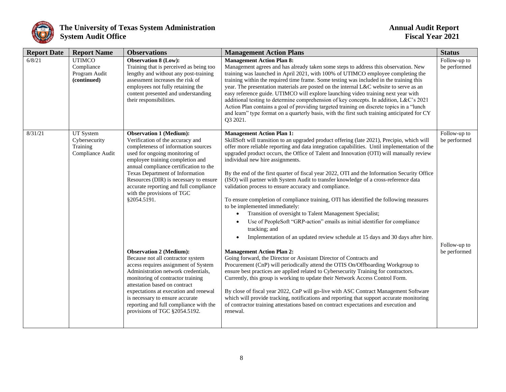

| <b>Report Date</b> | <b>Report Name</b>                                          | <b>Observations</b>                                                                                                                                                                                                                                                                                                                                                                                                                                                                                                                                                                                                                                                                                                                                                                     | <b>Management Action Plans</b>                                                                                                                                                                                                                                                                                                                                                                                                                                                                                                                                                                                                                                                                                                                                                                                                                                                                                                                                                                                                                                                                                                                                                                                                                                                                                                                                                                                                                                                                                                                                                                                                                                                     | <b>Status</b>                                                |
|--------------------|-------------------------------------------------------------|-----------------------------------------------------------------------------------------------------------------------------------------------------------------------------------------------------------------------------------------------------------------------------------------------------------------------------------------------------------------------------------------------------------------------------------------------------------------------------------------------------------------------------------------------------------------------------------------------------------------------------------------------------------------------------------------------------------------------------------------------------------------------------------------|------------------------------------------------------------------------------------------------------------------------------------------------------------------------------------------------------------------------------------------------------------------------------------------------------------------------------------------------------------------------------------------------------------------------------------------------------------------------------------------------------------------------------------------------------------------------------------------------------------------------------------------------------------------------------------------------------------------------------------------------------------------------------------------------------------------------------------------------------------------------------------------------------------------------------------------------------------------------------------------------------------------------------------------------------------------------------------------------------------------------------------------------------------------------------------------------------------------------------------------------------------------------------------------------------------------------------------------------------------------------------------------------------------------------------------------------------------------------------------------------------------------------------------------------------------------------------------------------------------------------------------------------------------------------------------|--------------------------------------------------------------|
| 6/8/21             | <b>UTIMCO</b><br>Compliance<br>Program Audit<br>(continued) | <b>Observation 8 (Low):</b><br>Training that is perceived as being too<br>lengthy and without any post-training<br>assessment increases the risk of<br>employees not fully retaining the<br>content presented and understanding<br>their responsibilities.                                                                                                                                                                                                                                                                                                                                                                                                                                                                                                                              | <b>Management Action Plan 8:</b><br>Management agrees and has already taken some steps to address this observation. New<br>training was launched in April 2021, with 100% of UTIMCO employee completing the<br>training within the required time frame. Some testing was included in the training this<br>year. The presentation materials are posted on the internal L&C website to serve as an<br>easy reference guide. UTIMCO will explore launching video training next year with<br>additional testing to determine comprehension of key concepts. In addition, L&C's 2021<br>Action Plan contains a goal of providing targeted training on discrete topics in a "lunch<br>and learn" type format on a quarterly basis, with the first such training anticipated for CY<br>Q3 2021.                                                                                                                                                                                                                                                                                                                                                                                                                                                                                                                                                                                                                                                                                                                                                                                                                                                                                           | Follow-up to<br>be performed                                 |
| 8/31/21            | UT System<br>Cybersecurity<br>Training<br>Compliance Audit  | <b>Observation 1 (Medium):</b><br>Verification of the accuracy and<br>completeness of information sources<br>used for ongoing monitoring of<br>employee training completion and<br>annual compliance certification to the<br><b>Texas Department of Information</b><br>Resources (DIR) is necessary to ensure<br>accurate reporting and full compliance<br>with the provisions of TGC<br>§2054.5191.<br><b>Observation 2 (Medium):</b><br>Because not all contractor system<br>access requires assignment of System<br>Administration network credentials,<br>monitoring of contractor training<br>attestation based on contract<br>expectations at execution and renewal<br>is necessary to ensure accurate<br>reporting and full compliance with the<br>provisions of TGC §2054.5192. | <b>Management Action Plan 1:</b><br>SkillSoft will transition to an upgraded product offering (late 2021), Precipio, which will<br>offer more reliable reporting and data integration capabilities. Until implementation of the<br>upgraded product occurs, the Office of Talent and Innovation (OTI) will manually review<br>individual new hire assignments.<br>By the end of the first quarter of fiscal year 2022, OTI and the Information Security Office<br>(ISO) will partner with System Audit to transfer knowledge of a cross-reference data<br>validation process to ensure accuracy and compliance.<br>To ensure completion of compliance training, OTI has identified the following measures<br>to be implemented immediately:<br>Transition of oversight to Talent Management Specialist;<br>$\bullet$<br>Use of PeopleSoft "GRP-action" emails as initial identifier for compliance<br>tracking; and<br>Implementation of an updated review schedule at 15 days and 30 days after hire.<br>$\bullet$<br><b>Management Action Plan 2:</b><br>Going forward, the Director or Assistant Director of Contracts and<br>Procurement (CnP) will periodically attend the OTIS On/Offboarding Workgroup to<br>ensure best practices are applied related to Cybersecurity Training for contractors.<br>Currently, this group is working to update their Network Access Control Form.<br>By close of fiscal year 2022, CnP will go-live with ASC Contract Management Software<br>which will provide tracking, notifications and reporting that support accurate monitoring<br>of contractor training attestations based on contract expectations and execution and<br>renewal. | Follow-up to<br>be performed<br>Follow-up to<br>be performed |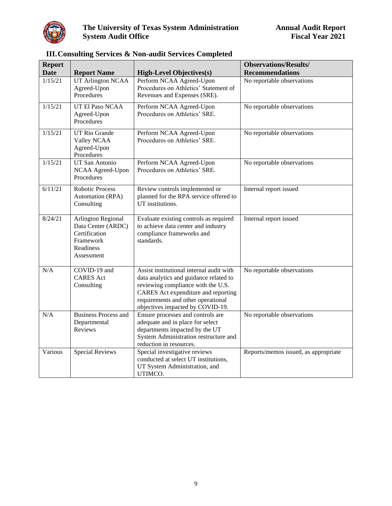<span id="page-10-0"></span>

| <b>Report</b> |                                                                                                   |                                                                                                                                                                                                                                           | <b>Observations/Results/</b>         |
|---------------|---------------------------------------------------------------------------------------------------|-------------------------------------------------------------------------------------------------------------------------------------------------------------------------------------------------------------------------------------------|--------------------------------------|
| <b>Date</b>   | <b>Report Name</b>                                                                                | <b>High-Level Objectives(s)</b>                                                                                                                                                                                                           | <b>Recommendations</b>               |
| 1/15/21       | <b>UT Arlington NCAA</b><br>Agreed-Upon<br>Procedures                                             | Perform NCAA Agreed-Upon<br>Procedures on Athletics' Statement of<br>Revenues and Expenses (SRE).                                                                                                                                         | No reportable observations           |
| 1/15/21       | UT El Paso NCAA<br>Agreed-Upon<br>Procedures                                                      | Perform NCAA Agreed-Upon<br>Procedures on Athletics' SRE.                                                                                                                                                                                 | No reportable observations           |
| 1/15/21       | UT Rio Grande<br>Valley NCAA<br>Agreed-Upon<br>Procedures                                         | Perform NCAA Agreed-Upon<br>Procedures on Athletics' SRE.                                                                                                                                                                                 | No reportable observations           |
| 1/15/21       | UT San Antonio<br>NCAA Agreed-Upon<br>Procedures                                                  | Perform NCAA Agreed-Upon<br>Procedures on Athletics' SRE.                                                                                                                                                                                 | No reportable observations           |
| 6/11/21       | <b>Robotic Process</b><br>Automation (RPA)<br>Consulting                                          | Review controls implemented or<br>planned for the RPA service offered to<br>UT institutions.                                                                                                                                              | Internal report issued               |
| 8/24/21       | Arlington Regional<br>Data Center (ARDC)<br>Certification<br>Framework<br>Readiness<br>Assessment | Evaluate existing controls as required<br>to achieve data center and industry<br>compliance frameworks and<br>standards.                                                                                                                  | Internal report issued               |
| N/A           | COVID-19 and<br><b>CARES</b> Act<br>Consulting                                                    | Assist institutional internal audit with<br>data analytics and guidance related to<br>reviewing compliance with the U.S.<br>CARES Act expenditure and reporting<br>requirements and other operational<br>objectives impacted by COVID-19. | No reportable observations           |
| $\rm N/A$     | <b>Business Process and</b><br>Departmental<br>Reviews                                            | Ensure processes and controls are<br>adequate and in place for select<br>departments impacted by the UT<br>System Administration restructure and<br>reduction in resources.                                                               | No reportable observations           |
| Various       | <b>Special Reviews</b>                                                                            | Special investigative reviews<br>conducted at select UT institutions,<br>UT System Administration, and<br>UTIMCO.                                                                                                                         | Reports/memos issued, as appropriate |

## **III.Consulting Services & Non-audit Services Completed**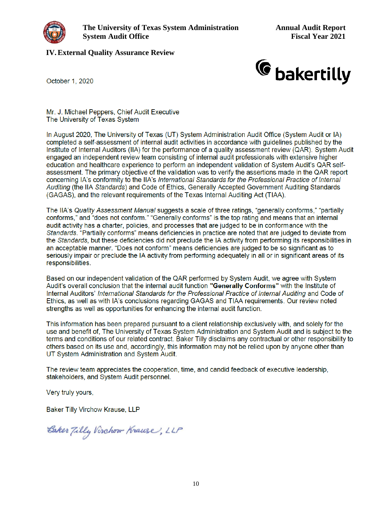<span id="page-11-0"></span>

#### **IV.External Quality Assurance Review**



October 1, 2020

Mr. J. Michael Peppers, Chief Audit Executive The University of Texas System

In August 2020, The University of Texas (UT) System Administration Audit Office (System Audit or IA) completed a self-assessment of internal audit activities in accordance with guidelines published by the Institute of Internal Auditors (IIA) for the performance of a quality assessment review (QAR). System Audit engaged an independent review team consisting of internal audit professionals with extensive higher education and healthcare experience to perform an independent validation of System Audit's OAR selfassessment. The primary objective of the validation was to verify the assertions made in the QAR report concerning IA's conformity to the IIA's International Standards for the Professional Practice of Internal Auditing (the IIA Standards) and Code of Ethics, Generally Accepted Government Auditing Standards (GAGAS), and the relevant requirements of the Texas Internal Auditing Act (TIAA).

The IIA's Quality Assessment Manual suggests a scale of three ratings, "generally conforms," "partially conforms," and "does not conform." "Generally conforms" is the top rating and means that an internal audit activity has a charter, policies, and processes that are judged to be in conformance with the Standards. "Partially conforms" means deficiencies in practice are noted that are judged to deviate from the Standards, but these deficiencies did not preclude the IA activity from performing its responsibilities in an acceptable manner. "Does not conform" means deficiencies are judged to be so significant as to seriously impair or preclude the IA activity from performing adequately in all or in significant areas of its responsibilities.

Based on our independent validation of the QAR performed by System Audit, we agree with System Audit's overall conclusion that the internal audit function **"Generally Conforms"** with the Institute of Internal Auditors' International Standards for the Professional Practice of Internal Auditing and Code of Ethics, as well as with IA's conclusions regarding GAGAS and TIAA requirements. Our review noted strengths as well as opportunities for enhancing the internal audit function.

This information has been prepared pursuant to a client relationship exclusively with, and solely for the use and benefit of, The University of Texas System Administration and System Audit and is subject to the terms and conditions of our related contract. Baker Tilly disclaims any contractual or other responsibility to others based on its use and, accordingly, this information may not be relied upon by anyone other than UT System Administration and System Audit.

The review team appreciates the cooperation, time, and candid feedback of executive leadership, stakeholders, and System Audit personnel.

Very truly yours,

Baker Tilly Virchow Krause, LLP

Baker Tilly Virchow Krause, LLP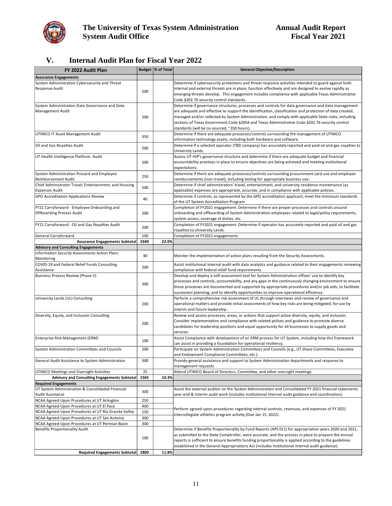<span id="page-12-0"></span>

## **V. Internal Audit Plan for Fiscal Year 2022**

| FY 2022 Audit Plan                                                              |      | Budget  % of Total | <b>General Objective/Description</b>                                                                                                                                                                                                                                                                                                                                                                                                                                    |  |
|---------------------------------------------------------------------------------|------|--------------------|-------------------------------------------------------------------------------------------------------------------------------------------------------------------------------------------------------------------------------------------------------------------------------------------------------------------------------------------------------------------------------------------------------------------------------------------------------------------------|--|
| <b>Assurance Engagements</b>                                                    |      |                    |                                                                                                                                                                                                                                                                                                                                                                                                                                                                         |  |
| System Administration Cybersecurity and Threat<br>Response Audit                | 500  |                    | Determine if cybersecurity protections and threat response activities intended to guard against both<br>internal and external threats are in place, function effectively and are designed to evolve rapidly as<br>emerging threats develop. This engagement includes compliance with applicable Texas Administrative<br>Code §202.76 security control standards.                                                                                                        |  |
| System Administration Data Governance and Data<br>Management Audit              | 500  |                    | Determine if governance structures, processes and controls for data governance and data management<br>are adequate and effective to support the identification, classification and protection of data created,<br>managed and/or collected by System Administration, and comply with applicable State rules, including<br>sections of Texas Government Code §2054 and Texas Administrative Code §202.76 security control<br>standards (will be co-sourced, ~350 hours). |  |
| UTIMCO IT Asset Management Audit                                                | 350  |                    | Determine if there are adequate processes/controls surrounding the management of UTIMCO<br>information technology assets, including both hardware and software.                                                                                                                                                                                                                                                                                                         |  |
| Oil and Gas Royalties Audit                                                     | 500  |                    | Determine if a selected operator (TBD company) has accurately reported and paid oil and gas royalties to<br>University Lands.                                                                                                                                                                                                                                                                                                                                           |  |
| UT Health Intelligence Platform Audit                                           | 200  |                    | Assess UT-HIP's governance structure and determine if there are adequate budget and financial<br>accountability practices in place to ensure objectives are being achieved and meeting institutional<br>expectations.                                                                                                                                                                                                                                                   |  |
| System Administration Procard and Employee<br>Reimbursement Audit               | 250  |                    | Determine if there are adequate processes/controls surrounding procurement card use and employee<br>reimbursements (non-travel), including testing for appropriate business use.                                                                                                                                                                                                                                                                                        |  |
| Chief Administrator Travel, Entertainment, and Housing<br><b>Expenses Audit</b> | 500  |                    | Determine if chief administrators' travel, entertainment, and university residence maintenance (as<br>applicable) expenses are appropriate, accurate, and in compliance with applicable policies.                                                                                                                                                                                                                                                                       |  |
| GPO Accreditation Applications Review                                           | 40   |                    | Determine if controls, as represented by the GPO accreditation applicant, meet the minimum standards<br>of the UT System Accreditation Program.                                                                                                                                                                                                                                                                                                                         |  |
| FY21 Carryforward - Employee Onboarding and<br><b>Offboarding Process Audit</b> | 200  |                    | Completion of FY2021 engagement: Determine if there are proper processes and controls around<br>onboarding and offboarding of System Administration employees related to legal/policy requirements,<br>system access, coverage of duties, etc.                                                                                                                                                                                                                          |  |
| FY21 Carryforward - Oil and Gas Royalties Audit                                 | 200  |                    | Completion of FY2021 engagement: Determine if operator has accurately reported and paid oil and gas<br>royalties to University Lands.                                                                                                                                                                                                                                                                                                                                   |  |
| General Carryforward                                                            | 100  |                    | Completion of FY2021 engagements.                                                                                                                                                                                                                                                                                                                                                                                                                                       |  |
| <b>Assurance Engagements Subtotal</b>                                           | 3340 | 22.0%              |                                                                                                                                                                                                                                                                                                                                                                                                                                                                         |  |
| <b>Advisory and Consulting Engagements</b>                                      |      |                    |                                                                                                                                                                                                                                                                                                                                                                                                                                                                         |  |
| Information Security Assessments Action Plans<br>Monitoring                     | 40   |                    | Monitor the implementation of action plans resulting from the Security Assessments.                                                                                                                                                                                                                                                                                                                                                                                     |  |
| COVID-19 and Federal Relief Funds Consulting<br>Assistance                      | 200  |                    | Assist institutional internal audit with data analytics and guidance related to their engagements reviewing<br>compliance with federal relief fund requirements.                                                                                                                                                                                                                                                                                                        |  |
| Business Process Review (Phase II)                                              | 300  |                    | Develop and deploy a self-assessment tool for System Administration offices' use to identify key<br>processes and controls, accountability, and any gaps in the continuously changing environment to ensure<br>those processes are documented and supported by appropriate procedures and/or job aids; to facilitate<br>succession planning; and to identify opportunities to improve operational efficiency.                                                           |  |
| University Lands (UL) Consulting                                                | 200  |                    | Perform a comprehensive risk assessment of UL through interviews and review of governance and<br>operational matters and provide initial assessments of how key risks are being mitigated, for use by<br>interim and future leadership.                                                                                                                                                                                                                                 |  |
| Diversity, Equity, and Inclusion Consulting                                     | 200  |                    | Review and assess processes, areas, or actions that support active diversity, equity, and inclusion.<br>Consider implementation and compliance with related polices and guidance to promote diverse<br>candidates for leadership positions and equal opportunity for all businesses to supply goods and<br>services.                                                                                                                                                    |  |
| Enterprise Risk Management (ERM)                                                | 100  |                    | Assist Compliance with development of an ERM process for UT System, including how this framework<br>can assist in providing a foundation for operational resiliency.                                                                                                                                                                                                                                                                                                    |  |
| System Administration Committees and Councils                                   | 200  |                    | Participate on System Administration Committees and Councils (e.g., UT Share Committees, Executive<br>and Endowment Compliance Committees, etc.).                                                                                                                                                                                                                                                                                                                       |  |
| General Audit Assistance to System Administration                               | 300  |                    | Provide general assistance and support to System Administration departments and response to<br>management requests.                                                                                                                                                                                                                                                                                                                                                     |  |
| UTIMCO Meetings and Oversight Activities                                        | 25   |                    | Attend UTIMCO Board of Directors, Committee, and other oversight meetings.                                                                                                                                                                                                                                                                                                                                                                                              |  |
| <b>Advisory and Consulting Engagements Subtotal</b>                             | 1565 | 10.3%              |                                                                                                                                                                                                                                                                                                                                                                                                                                                                         |  |
| <b>Required Engagements</b>                                                     |      |                    |                                                                                                                                                                                                                                                                                                                                                                                                                                                                         |  |
| UT System Administration & Consolidated Financial<br>Audit Assistance           | 300  |                    | Assist the external auditor on the System Administration and Consolidated FY 2021 financial statements<br>year-end & interim audit work (includes institutional internal audit guidance and coordination).                                                                                                                                                                                                                                                              |  |
| NCAA Agreed-Upon Procedures at UT Arlington                                     | 250  |                    |                                                                                                                                                                                                                                                                                                                                                                                                                                                                         |  |
| NCAA Agreed-Upon Procedures at UT El Paso                                       | 400  |                    |                                                                                                                                                                                                                                                                                                                                                                                                                                                                         |  |
| NCAA Agreed-Upon Procedures at UT Rio Grande Valley                             | 150  |                    | Perform agreed-upon procedures regarding internal controls, revenues, and expenses of FY 2021<br>intercollegiate athletics program activity (Due Jan 15, 2022).                                                                                                                                                                                                                                                                                                         |  |
| NCAA Agreed-Upon Procedures at UT San Antonio                                   | 300  |                    |                                                                                                                                                                                                                                                                                                                                                                                                                                                                         |  |
| NCAA Agreed-Upon Procedures at UT Permian Basin                                 | 300  |                    |                                                                                                                                                                                                                                                                                                                                                                                                                                                                         |  |
| <b>Benefits Proportionality Audit</b>                                           | 100  |                    | Determine if Benefits Proportionality by Fund Reports (APS 011) for appropriation years 2020 and 2021,<br>as submitted to the State Comptroller, were accurate, and the process in place to prepare the annual<br>reports is sufficient to ensure benefits funding proportionality is applied according to the guidelines<br>established in the General Appropriations Act (includes institutional internal audit guidance).                                            |  |
| Required Engagements Subtotal 1800                                              |      | 11.8%              |                                                                                                                                                                                                                                                                                                                                                                                                                                                                         |  |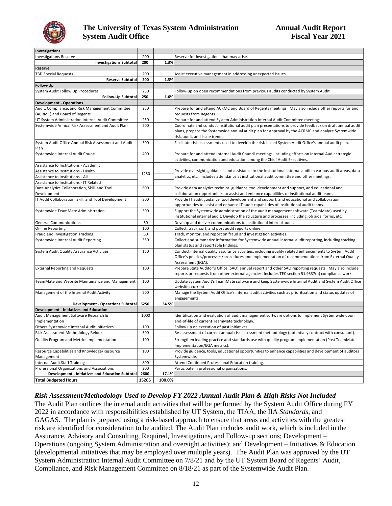

| Investigations                                                                      |            |        |                                                                                                                                                                                                                                               |  |
|-------------------------------------------------------------------------------------|------------|--------|-----------------------------------------------------------------------------------------------------------------------------------------------------------------------------------------------------------------------------------------------|--|
| <b>Investigations Reserve</b>                                                       | 200        |        | Reserve for investigations that may arise.                                                                                                                                                                                                    |  |
| <b>Investigations Subtotal</b>                                                      | 200        | 1.3%   |                                                                                                                                                                                                                                               |  |
| Reserve                                                                             |            |        |                                                                                                                                                                                                                                               |  |
| <b>TBD Special Requests</b>                                                         | 200        |        | Assist executive management in addressing unexpected issues.                                                                                                                                                                                  |  |
| <b>Reserve Subtotal</b>                                                             | 200        | 1.3%   |                                                                                                                                                                                                                                               |  |
| Follow-Up                                                                           |            |        |                                                                                                                                                                                                                                               |  |
| System Audit Follow Up Procedures                                                   | 250        |        | Follow-up on open recommendations from previous audits conducted by System Audit.                                                                                                                                                             |  |
| Follow-Up Subtotal                                                                  | 250        | 1.6%   |                                                                                                                                                                                                                                               |  |
| <b>Development - Operations</b>                                                     |            |        |                                                                                                                                                                                                                                               |  |
| Audit, Compliance, and Risk Management Committee                                    | 250        |        | Prepare for and attend ACRMC and Board of Regents meetings. May also include other reports for and                                                                                                                                            |  |
| (ACRMC) and Board of Regents                                                        |            |        | requests from Regents.                                                                                                                                                                                                                        |  |
| UT System Administration Internal Audit Committee                                   | 250        |        | Prepare for and attend System Administration Internal Audit Committee meetings.                                                                                                                                                               |  |
| Systemwide Annual Risk Assessment and Audit Plan                                    | 200        |        | Coordinate and conduct institutional audit plan presentations to provide feedback on draft annual audit<br>plans, prepare the Systemwide annual audit plan for approval by the ACRMC and analyze Systemwide<br>risk, audit, and issue trends. |  |
| System Audit Office Annual Risk Assessment and Audit<br>Plan                        | 300        |        | Facilitate risk assessments used to develop the risk-based System Audit Office's annual audit plan.                                                                                                                                           |  |
| Systemwide Internal Audit Council                                                   | 400        |        | Prepare for and attend Internal Audit Council meetings, including efforts on Internal Audit strategic<br>activities, communication and education among the Chief Audit Executives.                                                            |  |
| Assistance to Institutions - Academic                                               |            |        |                                                                                                                                                                                                                                               |  |
| Assistance to Institutions - Health                                                 | 1250       |        | Provide oversight, guidance, and assistance to the institutional internal audit in various audit areas, data                                                                                                                                  |  |
| Assistance to Institutions - All                                                    |            |        | analytics, etc. Includes attendance at institutional audit committee and other meetings.                                                                                                                                                      |  |
| Assistance to Institutions - IT Related                                             |            |        |                                                                                                                                                                                                                                               |  |
| Data Analytics Collaboration, Skill, and Tool                                       | 600        |        | Provide data analytics technical guidance, tool development and support, and educational and                                                                                                                                                  |  |
| Development                                                                         |            |        | collaboration opportunities to assist and enhance capabilities of institutional audit teams.                                                                                                                                                  |  |
| IT Audit Collaboration, Skill, and Tool Development                                 | 300        |        | Provide IT audit guidance, tool development and support, and educational and collaboration                                                                                                                                                    |  |
|                                                                                     |            |        | opportunities to assist and enhance IT audit capabilities of institutional audit teams.                                                                                                                                                       |  |
| Systemwide TeamMate Administration                                                  | 300        |        | Support the Systemwide administration of the audit management software (TeamMate) used by<br>institutional internal audit. Develop the structure and processes, including job aids, forms, etc.                                               |  |
| <b>General Communications</b>                                                       | 50         |        | Develop and deliver communications to institutional internal audit.                                                                                                                                                                           |  |
| <b>Online Reporting</b>                                                             | 100        |        | Collect, track, sort, and post audit reports online.                                                                                                                                                                                          |  |
| Fraud and Investigation Tracking                                                    | 50         |        | Track, monitor, and report on fraud and investigation activities.                                                                                                                                                                             |  |
| Systemwide Internal Audit Reporting                                                 | 350        |        | Collect and summarize information for Systemwide annual internal audit reporting, including tracking<br>plan status and reportable findings.                                                                                                  |  |
| System Audit Quality Assurance Activities                                           | 150        |        | Conduct internal quality assurance activities, including quality related enhancements to System Audit<br>Office's policies/processes/procedures and implementation of recommendations from External Quality<br>Assessment (EQA).              |  |
| <b>External Reporting and Requests</b>                                              | 100        |        | Prepare State Auditor's Office (SAO) annual report and other SAO reporting requests. May also include<br>reports or requests from other external agencies. Includes TEC section 51.9337(h) compliance work.                                   |  |
| TeamMate and Website Maintenance and Management                                     | 100        |        | Update System Audit's TeamMate software and keep Systemwide Internal Audit and System Audit Office<br>websites current.                                                                                                                       |  |
| Management of the Internal Audit Activity                                           | 500        |        | Manage the System Audit Office's internal audit activities such as prioritization and status updates of<br>engagements.                                                                                                                       |  |
| <b>Development - Operations Subtotal</b>                                            | 5250       | 34.5%  |                                                                                                                                                                                                                                               |  |
| <b>Development - Initiatives and Education</b>                                      |            |        |                                                                                                                                                                                                                                               |  |
| Audit Management Software Research &                                                | 1000       |        | Identification and evaluation of audit management software options to implement Systemwide upon                                                                                                                                               |  |
| Implementation                                                                      |            |        | end-of-life of current TeamMate technology.                                                                                                                                                                                                   |  |
| Others Systemwide Internal Audit Initiatives                                        | 100        |        | Follow up on execution of past initiatives.                                                                                                                                                                                                   |  |
| Risk Assessment Methodology Relook                                                  | 300        |        | Re-assessment of current annual risk assessment methodology (potentially contract with consultant).                                                                                                                                           |  |
| Quality Program and Metrics Implementation                                          | 100        |        | Strengthen leading practice and standards use with quality program implementation (Post TeamMate<br>Implementation/EQA metrics).                                                                                                              |  |
| Resource Capabilities and Knowledge/Resource                                        | 100        |        | Provide guidance, tools, educational opportunities to enhance capabilities and development of auditors                                                                                                                                        |  |
| Management                                                                          |            |        | Systemwide.                                                                                                                                                                                                                                   |  |
| <b>Internal Audit Staff Training</b><br>Professional Organizations and Associations | 800<br>200 |        | Attend Continued Professional Education training.<br>Participate in professional organizations.                                                                                                                                               |  |
| Development - Initiatives and Education Subtotal                                    | 2600       | 17.1%  |                                                                                                                                                                                                                                               |  |
| <b>Total Budgeted Hours</b>                                                         | 15205      | 100.0% |                                                                                                                                                                                                                                               |  |

#### *Risk Assessment/Methodology Used to Develop FY 2022 Annual Audit Plan & High Risks Not Included*

The Audit Plan outlines the internal audit activities that will be performed by the System Audit Office during FY 2022 in accordance with responsibilities established by UT System, the TIAA, the IIA *Standards*, and GAGAS. The plan is prepared using a risk-based approach to ensure that areas and activities with the greatest risk are identified for consideration to be audited. The Audit Plan includes audit work, which is included in the Assurance, Advisory and Consulting, Required, Investigations, and Follow-up sections; Development – Operations (ongoing System Administration and oversight activities); and Development – Initiatives & Education (developmental initiatives that may be employed over multiple years). The Audit Plan was approved by the UT System Administration Internal Audit Committee on 7/8/21 and by the UT System Board of Regents' Audit, Compliance, and Risk Management Committee on 8/18/21 as part of the Systemwide Audit Plan.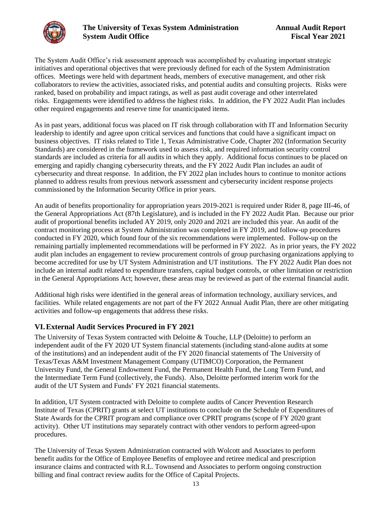<span id="page-14-0"></span>

The System Audit Office's risk assessment approach was accomplished by evaluating important strategic initiatives and operational objectives that were previously defined for each of the System Administration offices. Meetings were held with department heads, members of executive management, and other risk collaborators to review the activities, associated risks, and potential audits and consulting projects. Risks were ranked, based on probability and impact ratings, as well as past audit coverage and other interrelated risks. Engagements were identified to address the highest risks. In addition, the FY 2022 Audit Plan includes other required engagements and reserve time for unanticipated items.

As in past years, additional focus was placed on IT risk through collaboration with IT and Information Security leadership to identify and agree upon critical services and functions that could have a significant impact on business objectives. IT risks related to Title 1, Texas Administrative Code, Chapter 202 (Information Security Standards) are considered in the framework used to assess risk, and required information security control standards are included as criteria for all audits in which they apply. Additional focus continues to be placed on emerging and rapidly changing cybersecurity threats, and the FY 2022 Audit Plan includes an audit of cybersecurity and threat response. In addition, the FY 2022 plan includes hours to continue to monitor actions planned to address results from previous network assessment and cybersecurity incident response projects commissioned by the Information Security Office in prior years.

An audit of benefits proportionality for appropriation years 2019-2021 is required under Rider 8, page III-46, of the General Appropriations Act (87th Legislature), and is included in the FY 2022 Audit Plan. Because our prior audit of proportional benefits included AY 2019, only 2020 and 2021 are included this year. An audit of the contract monitoring process at System Administration was completed in FY 2019, and follow-up procedures conducted in FY 2020, which found four of the six recommendations were implemented. Follow-up on the remaining partially implemented recommendations will be performed in FY 2022. As in prior years, the FY 2022 audit plan includes an engagement to review procurement controls of group purchasing organizations applying to become accredited for use by UT System Administration and UT institutions. The FY 2022 Audit Plan does not include an internal audit related to expenditure transfers, capital budget controls, or other limitation or restriction in the General Appropriations Act; however, these areas may be reviewed as part of the external financial audit.

Additional high risks were identified in the general areas of information technology, auxiliary services, and facilities. While related engagements are not part of the FY 2022 Annual Audit Plan, there are other mitigating activities and follow-up engagements that address these risks.

### **VI.External Audit Services Procured in FY 2021**

The University of Texas System contracted with Deloitte & Touche, LLP (Deloitte) to perform an independent audit of the FY 2020 UT System financial statements (including stand-alone audits at some of the institutions) and an independent audit of the FY 2020 financial statements of The University of Texas/Texas A&M Investment Management Company (UTIMCO) Corporation, the Permanent University Fund, the General Endowment Fund, the Permanent Health Fund, the Long Term Fund, and the Intermediate Term Fund (collectively, the Funds). Also, Deloitte performed interim work for the audit of the UT System and Funds' FY 2021 financial statements.

In addition, UT System contracted with Deloitte to complete audits of Cancer Prevention Research Institute of Texas (CPRIT) grants at select UT institutions to conclude on the Schedule of Expenditures of State Awards for the CPRIT program and compliance over CPRIT programs (scope of FY 2020 grant activity). Other UT institutions may separately contract with other vendors to perform agreed-upon procedures.

The University of Texas System Administration contracted with Wolcott and Associates to perform benefit audits for the Office of Employee Benefits of employee and retiree medical and prescription insurance claims and contracted with R.L. Townsend and Associates to perform ongoing construction billing and final contract review audits for the Office of Capital Projects.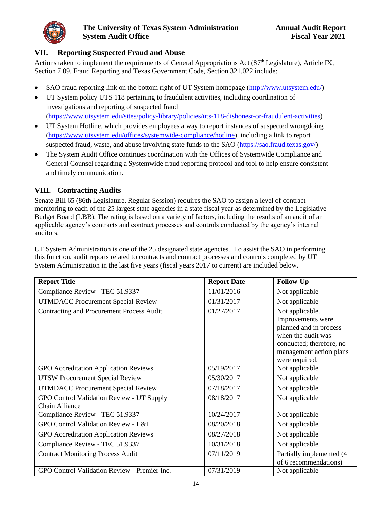<span id="page-15-0"></span>

### **VII. Reporting Suspected Fraud and Abuse**

Actions taken to implement the requirements of General Appropriations Act (87<sup>th</sup> Legislature), Article IX, Section 7.09, Fraud Reporting and Texas Government Code, Section 321.022 include:

- SAO fraud reporting link on the bottom right of UT System homepage [\(http://www.utsystem.edu/\)](http://www.utsystem.edu/)
- UT System policy UTS 118 pertaining to fraudulent activities, including coordination of investigations and reporting of suspected fraud [\(https://www.utsystem.edu/sites/policy-library/policies/uts-118-dishonest-or-fraudulent-activities\)](https://www.utsystem.edu/sites/policy-library/policies/uts-118-dishonest-or-fraudulent-activities)
- UT System Hotline, which provides employees a way to report instances of suspected wrongdoing [\(https://www.utsystem.edu/offices/systemwide-compliance/hotline\)](https://www.utsystem.edu/offices/systemwide-compliance/hotline), including a link to report suspected fraud, waste, and abuse involving state funds to the SAO [\(https://sao.fraud.texas.gov/\)](https://sao.fraud.texas.gov/)
- The System Audit Office continues coordination with the Offices of Systemwide Compliance and General Counsel regarding a Systemwide fraud reporting protocol and tool to help ensure consistent and timely communication.

## **VIII. Contracting Audits**

Senate Bill 65 (86th Legislature, Regular Session) requires the SAO to assign a level of contract monitoring to each of the 25 largest state agencies in a state fiscal year as determined by the Legislative Budget Board (LBB). The rating is based on a variety of factors, including the results of an audit of an applicable agency's contracts and contract processes and controls conducted by the agency's internal auditors.

UT System Administration is one of the 25 designated state agencies. To assist the SAO in performing this function, audit reports related to contracts and contract processes and controls completed by UT System Administration in the last five years (fiscal years 2017 to current) are included below.

| <b>Report Title</b>                                                | <b>Report Date</b> | Follow-Up                                                                                                                                                     |
|--------------------------------------------------------------------|--------------------|---------------------------------------------------------------------------------------------------------------------------------------------------------------|
| Compliance Review - TEC 51.9337                                    | 11/01/2016         | Not applicable                                                                                                                                                |
| <b>UTMDACC Procurement Special Review</b>                          | 01/31/2017         | Not applicable                                                                                                                                                |
| Contracting and Procurement Process Audit                          | 01/27/2017         | Not applicable.<br>Improvements were<br>planned and in process<br>when the audit was<br>conducted; therefore, no<br>management action plans<br>were required. |
| <b>GPO</b> Accreditation Application Reviews                       | 05/19/2017         | Not applicable                                                                                                                                                |
| <b>UTSW Procurement Special Review</b>                             | 05/30/2017         | Not applicable                                                                                                                                                |
| <b>UTMDACC Procurement Special Review</b>                          | 07/18/2017         | Not applicable                                                                                                                                                |
| GPO Control Validation Review - UT Supply<br><b>Chain Alliance</b> | 08/18/2017         | Not applicable                                                                                                                                                |
| Compliance Review - TEC 51.9337                                    | 10/24/2017         | Not applicable                                                                                                                                                |
| GPO Control Validation Review - E&I                                | 08/20/2018         | Not applicable                                                                                                                                                |
| GPO Accreditation Application Reviews                              | 08/27/2018         | Not applicable                                                                                                                                                |
| Compliance Review - TEC 51.9337                                    | 10/31/2018         | Not applicable                                                                                                                                                |
| <b>Contract Monitoring Process Audit</b>                           | 07/11/2019         | Partially implemented (4<br>of 6 recommendations)                                                                                                             |
| GPO Control Validation Review - Premier Inc.                       | 07/31/2019         | Not applicable                                                                                                                                                |